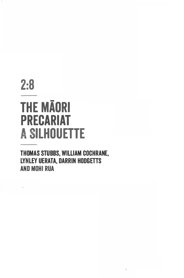# 2:8 **THE MAORI PRECARIAT ILHDUETTE**

**THOMAS STUBBS, WILLIAM COCHRANE, LYNLEY UERATA, DARRIN HODGETTS AND MOHi RUA**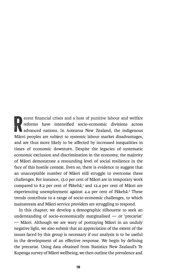Ecent financial crises and a host of punitive labour and welfare<br>reforms have intensified socio-economic divisions across<br>advanced nations. In Aotearoa New Zealand, the indigenous<br>Māori peoples are subject to systemic labo reforms have intensified socio-economic divisions across advanced nations. In Aotearoa New Zealand, the indigenous Maori peoples are subject to systemic labour market disadvantages, and are thus more likely to be affected by increased inequalities in times of economic downturn. Despite the legacies of systematic economic exclusion and discrimination in the economy, the majority of Maori demonstrate a resounding level of social resilience in the face of this hostile context. Even so, there is evidence to suggest that an unacceptable number of Maori still struggle to overcome these challenges. For instance, **13.0** per cent of Maori are in temporary work compared to 8.2 per cent of Pakeha,**1** and 12.4 per cent of Maori are experiencing unemployment against 4.4 per cent of Pākehā.<sup>2</sup> These trends contribute to a range of socio-economic challenges, to which mainstream and Maori service providers are struggling to respond.

In this chapter, we develop a demographic silhouette to seek an understanding of socio-economically marginalised  $-$  or 'precariat' - Māori. Although we are wary of portraying Māori in an unduly negative light, we also submit that an appreciation of the extent of the issues faced by this group is necessary if our analysis is to be useful in the development of an effective response. We begin by defining the precariat. Using data obtained from Statistics New Zealand's Te Kupenga survey of Maori wellbeing, we then outline the prevalence and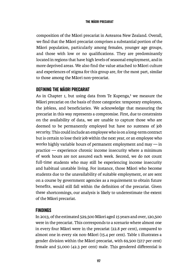composition of the Maori precariat in Aotearoa New Zealand. Overall, we find that the Maori precariat comprises a substantial portion of the Maori population, particularly among females, younger age groups, and those with low or no qualifications. They are predominantly located in regions that have high levels of seasonal employment, and in more deprived areas. We also find the value attached to Maori culture and experiences of stigma for this group are, for the most part, similar to those among the Maori non-precariat.

# **DEFINING THE MAORI PRECARIAT**

As in Chapter 1, but using data from Te Kupenga,**3** we measure the Maori precariat on the basis of three categories: temporary employees, the jobless, and beneficiaries. We acknowledge that measuring the precariat in this way represents a compromise. First, due to constraints on the availability of data, we are unable to capture those who are deemed to be permanently employed but have no sureness of job security. This could include an employee who is on a long-term contract but is certain to lose their johwithin the next year, or an employee who works highly variable hours of permanent employment and may  $\frac{1}{\cdot}$  in  $practive$  - experience chronic income insecurity where a minimum of work hours are not assured each week. Second, we do not count full-time students who may still be experiencing income insecurity and habitual unstable living. For instance, those Maori who become students due to the unavailability of suitable employment, or are sent on a course by government agencies as a requirement to obtain future benefits, would still fall within the definition of the precariat. Given these shortcomings, our analysis is likely to underestimate the extent of the Maori precariat.

# **FINDINGS**

In 2013, of the estimated 529,500 Maori aged 15 years and over, 120,500 were in the precariat. This corresponds to a scenario where almost one in every four Maori were in the precariat (22.8 per cent), compared to almost one in �very six non-Maori (15.4 per cent). Table 1 illustrates a gender division within the Maori precariat, with 69,500 (57.7 per cent) female and 51,000 (42.3 per cent) male. This gendered differential is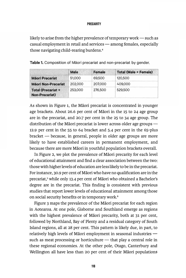#### **PRECARITY**

likely to arise from the higher prevalence of temporary work  $-$  such as  $ca$ sual employment in retail and services  $\rightarrow$  among females, especially those navigating child-rearing burdens.**<sup>4</sup>**

|                                                    | <b>Male</b> | <b>Female</b> | <b>Total (Male + Female)</b> |
|----------------------------------------------------|-------------|---------------|------------------------------|
| <b>Mäori Precariat</b>                             | 51,000      | 69,500        | 120,500                      |
| <b>Mäori Non-Precariat</b>                         | 202,000     | 207,000       | 409,000                      |
| <b>Total (Precariat +</b><br><b>Non-Precariat)</b> | 253,000     | 276,500       | 529,500                      |

Table 1. Composition of Māori precariat and non-precariat by gender.

As shown in Figure 1, the Māori precariat is concentrated in younger age brackets. About 26.6 per cent of Maori in the 15 to 24 age group are in the precariat, and 20.7 per cent in the 25 to 34 age group. The distribution of the Māori precariat is lower across older age groups  $-$ 12.9 per cent in the 55 to 64 bracket and 5.4 per cent in the 65-plus  $bracket$  - because, in general, people in older age groups are more likely to have established careers in permanent employment, and because there are more Maori in youthful population brackets overall.

In Figure 2, we plot the prevalence of Maori precarity for each level of educational attainment and find a clear association between the two: those with higher levels of education are less likely to be in the precariat. For instance, 30.9 per cent of Maori who have no qualification are in the precariat,**5** while only 13.4 per cent of Maori who obtained a Bachelor's degree are in the precariat. This finding is consistent with previous studies that report lower levels of educational attainment among those on social security benefits or in temporary work. **<sup>6</sup>**

Figure 3 maps the prevalence of the Maori precariat for each region in Aotearoa. At one pole, Gisborne and Southland emerge as regions with the highest prevalence of Maori precarity, both at 31 per cent, followed by Northland, Bay of Plenty and a residual category of South Island regions, all at 28 per cent. This pattern is likely due, in part, to relatively high levels of Māori employment in seasonal industries  $$ such as meat processing or horticulture  $-$  that play a central role in these regional economies. At the other pole, Otago, Canterbury and Wellington all have less than 20 per cent of their Māori populations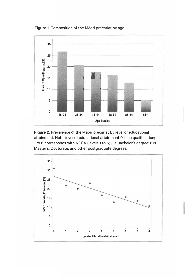**Figure 1.** Composition of the Maori precariat by age.



Figure 2. Prevalence of the Māori precariat by level of educational attainment. Note: level of educational attainment O is no qualification; 1 to 6 corresponds with NCEA Levels 1 to 6; 7 is Bachelor's degree; 8 is Master's, Doctorate, and other postgraduate degrees.

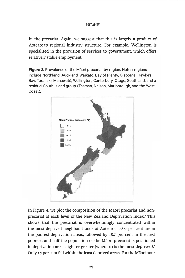# **PRECARITY**

in the precariat. Again, we suggest that this is largely a product of Aotearoa's regional industry structure. For example, Wellington is specialised in the provision of services to government, which offers relatively stable employment.

**Figure 3.** Prevalence of the Maori precariat by region. Notes: regions include Northland, Auckland, Waikato, Bay of Plenty, Gisborne, Hawke's Bay, Taranaki, Manawatū, Wellington, Canterbury, Otago, Southland, and a residual South Island group (Tasman, Nelson, Marlborough, and the West Coast).



In Figure 4, we plot the composition of the Maori precariat and nonprecariat at each level of the New Zealand Deprivation Index.7 This shows that the precariat is overwhelmingly concentrated within the most deprived neighbourhoods of Aotearoa: 28.9 per cent are in the poorest deprivation areas, followed by 18.7 per cent in the next poorest, and half the population of the Maori precariat is positioned in deprivation areas eight or greater (where **10** is the most deprived).**<sup>8</sup>** Only 1.7 per cent fall within the least deprived areas. For the Maori non-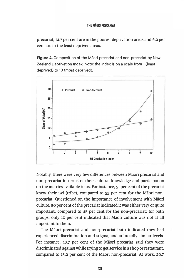#### **THE MAORI PRECARIAT**

precariat, **14.7** per cent are in the poorest deprivation areas and **6.2** per cent are in the least deprived areas.

**Figure 4.** Composition of the Maori precariat and non-precariat by New Zealand Deprivation Index. Note: the index is on a scale from 1 (least deprived) to 10 (most deprived).



Notably, there were very few differences between Maori precariat and non-precariat in terms of their cultural knowledge and participation on the metrics available to us. For instance, **51** per cent of the precariat knew their iwi (tribe), compared to **55** per cent for the Maori nonprecariat. Questioned on the importance of involvement with Maori culture, **50** per cent of the precariat indicated it was either very or quite important, compared to 45 per cent for the non-precariat; for both groups, only **10** per cent indicated that Maori culture was not at all important to them.

The Maori precariat and non-precariat both indicated they had experienced discrimination and stigma, and at broadly similar levels. For instance, **18.7** per cent of the Maori precariat said they were discriminated against while trying to get service in a shop or restaurant, compared to **15.2** per cent of the Maori non-precariat. At work, **20.7**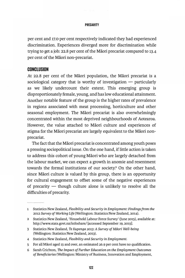### **PRECARITY**

per cent and 17.0 per cent respectively indicated they had experienced discrimination. Experiences diverged more for discrimination while trying to get a job: 22.8 per cent of the Maori precariat compared to 13-4 per cent of the Maori non-precariat.

# **CONCLUSION**

At 22.8 per cent of the Maori population, the Maori precariat is a sociological category that is worthy of investigation  $-$  particularly as we likely undercount their extent. This emerging group is disproportionately female, young, and has low educational attainment. Another notable feature of the group is the higher rates of prevalence in regions associated with meat processing, horticulture and other seasonal employment. The Maori precariat is also overwhelmingly concentrated within the most deprived neighbourhoods of Aotearoa. However, the value attached to Maori culture and experiences of stigma for the Maori precariat are largely equivalent to the Maori nonprecariat.

The fact that the Maori precariat is concentrated among youth poses a pressing sociopolitical issue. On the one hand, if little action is taken to address this cohort of young Maori who are largely detached from the labour market, we can expect a growth in anomie and resentment towards the formal institutions of our society.**9** On the other hand, since Maori culture is valued by this group, there is an opportunity for cultural engagement to offset some of the negative experiences of precarity  $-$  though culture alone is unlikely to resolve all the difficulties of precarity.

<sup>1</sup> Statistics New Zealand, *Flexibility and Security in Employment: Findings from the 2012 Survey of Working Life* (Wellington: Statistics New Zealand, 2014).

<sup>2</sup> Statistics New Zealand, 'Household Labour Force Survey' (June 2015), available at: http://www.stats.govt.nz/infoshare/ [accessed September 19, 2015].

<sup>3</sup> Statistics New Zealand, *Te Kupenga 2013: A Survey of Maori Well-being*  (Wellington: Statistics New Zealand, 2013).

<sup>4</sup> Statistics New Zealand, *Flexibility and Security in Employment.* 

<sup>5</sup> For all Maori aged 15 and over, an estimated 26.9 per cent have no qualification.

<sup>6</sup> Sarah Crichton, *The Impact of Further Education on the Employment Outcomes of Beneficiaries* (Wellington: Ministry of Business, Innovation and Employment,